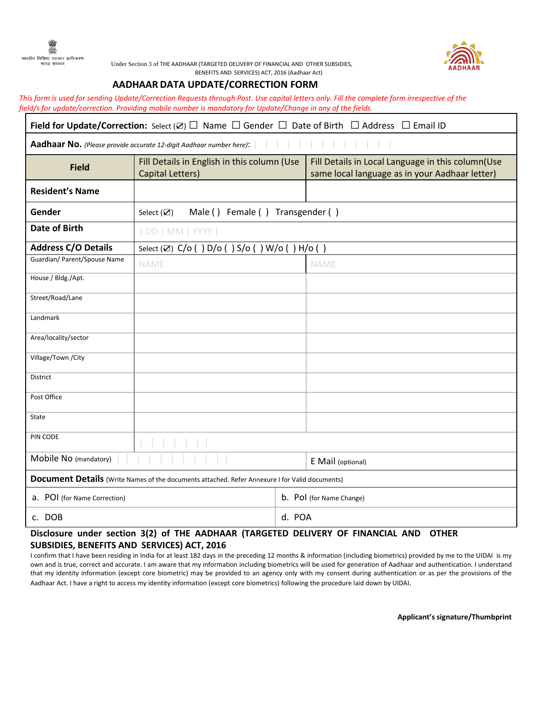



Under Section 3 of THE AADHAAR (TARGETED DELIVERY OF FINANCIAL AND OTHER SUBSIDIES, BENEFITS AND SERVICES) ACT, 2016 (Aadhaar Act)

## **AADHAAR DATA UPDATE/CORRECTION FORM**

*This form is used for sending Update/Correction Requests through Post. Use capital letters only. Fill the complete form irrespective of the field/s for update/correction. Providing mobile number is mandatory for Update/Change in any of the fields.* 

| <b>Field for Update/Correction:</b> Select ( $\boxtimes$ ) $\square$ Name $\square$ Gender $\square$ Date of Birth $\square$ Address $\square$ Email ID |                                                                 |        |                                                                                                     |  |
|---------------------------------------------------------------------------------------------------------------------------------------------------------|-----------------------------------------------------------------|--------|-----------------------------------------------------------------------------------------------------|--|
| Aadhaar No. (Please provide accurate 12-digit Aadhaar number here):                                                                                     |                                                                 |        |                                                                                                     |  |
| <b>Field</b>                                                                                                                                            | Fill Details in English in this column (Use<br>Capital Letters) |        | Fill Details in Local Language in this column(Use<br>same local language as in your Aadhaar letter) |  |
| <b>Resident's Name</b>                                                                                                                                  |                                                                 |        |                                                                                                     |  |
| Gender                                                                                                                                                  | Male () Female () Transgender ()<br>Select $(\mathbf{\nabla})$  |        |                                                                                                     |  |
| <b>Date of Birth</b>                                                                                                                                    | DD   MM   YYYY                                                  |        |                                                                                                     |  |
| <b>Address C/O Details</b>                                                                                                                              | Select (Z) C/o () D/o () S/o () W/o () H/o ()                   |        |                                                                                                     |  |
| Guardian/ Parent/Spouse Name                                                                                                                            | NAME                                                            |        | NAME                                                                                                |  |
| House / Bldg./Apt.                                                                                                                                      |                                                                 |        |                                                                                                     |  |
| Street/Road/Lane                                                                                                                                        |                                                                 |        |                                                                                                     |  |
| Landmark                                                                                                                                                |                                                                 |        |                                                                                                     |  |
| Area/locality/sector                                                                                                                                    |                                                                 |        |                                                                                                     |  |
| Village/Town / City                                                                                                                                     |                                                                 |        |                                                                                                     |  |
| District                                                                                                                                                |                                                                 |        |                                                                                                     |  |
| Post Office                                                                                                                                             |                                                                 |        |                                                                                                     |  |
| State                                                                                                                                                   |                                                                 |        |                                                                                                     |  |
| PIN CODE                                                                                                                                                |                                                                 |        |                                                                                                     |  |
| Mobile No (mandatory)                                                                                                                                   |                                                                 |        | E Mail (optional)                                                                                   |  |
| <b>Document Details</b> (Write Names of the documents attached. Refer Annexure I for Valid documents)                                                   |                                                                 |        |                                                                                                     |  |
| a. POI (for Name Correction)                                                                                                                            |                                                                 |        | b. Pol (for Name Change)                                                                            |  |
| c. DOB                                                                                                                                                  |                                                                 | d. POA |                                                                                                     |  |

## **Disclosure under section 3(2) of THE AADHAAR (TARGETED DELIVERY OF FINANCIAL AND OTHER SUBSIDIES, BENEFITS AND SERVICES) ACT, 2016**

I confirm that I have been residing in India for at least 182 days in the preceding 12 months & information (including biometrics) provided by me to the UIDAI is my own and is true, correct and accurate. I am aware that my information including biometrics will be used for generation of Aadhaar and authentication. I understand that my identity information (except core biometric) may be provided to an agency only with my consent during authentication or as per the provisions of the Aadhaar Act. I have a right to access my identity information (except core biometrics) following the procedure laid down by UIDAI.